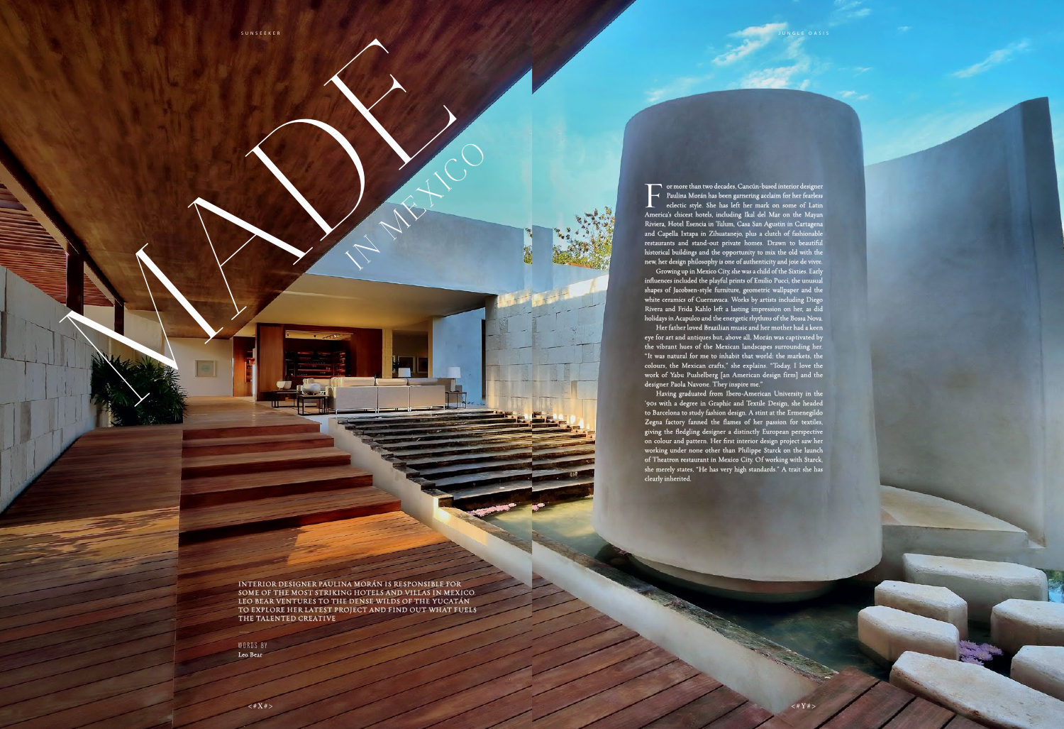INTERIOR DESIGNER PAULINA MORÁN IS RESPONSIBLE FOR SOME OF THE MOST STRIKING HOTELS AND VILLAS IN MEXICO. LEO BEAR VENTURES TO THE DENSE WILDS OF THE YUCATÁN TO EXPLORE HER LATEST PROJECT AND FIND OUT WHAT FUELS THE TALENTED CREATIVE \_

WORDS BY Leo Bear

RADE SERVICE

For more than two decades, Cancún-based interior designer<br>Faulina Morán has been garnering acclaim for her fearless<br>eclectic style. She has left her mark on some of Latin<br>America's chicest hotels, including Ikal del Mar on Paulina Morán has been garnering acclaim for her fearless eclectic style. She has left her mark on some of Latin America's chicest hotels, including Ikal del Mar on the Mayan Riviera, Hotel Esencia in Tulum, Casa San Agustin in Cartagena and Capella Ixtapa in Zihuatanejo, plus a clutch of fashionable restaurants and stand-out private homes. Drawn to beautiful historical buildings and the opportunity to mix the old with the new, her design philosophy is one of authenticity and joie de vivre. Growing up in Mexico City, she was a child of the Sixties. Early influences included the playful prints of Emilio Pucci, the unusual shapes of Jacobsen-style furniture, geometric wallpaper and the white ceramics of Cuernavaca. Works by artists including Diego Rivera and Frida Kahlo left a lasting impression on her, as did holidays in Acapulco and the energetic rhythms of the Bossa Nova. Her father loved Brazilian music and her mother had a keen eye for art and antiques but, above all, Morán was captivated by the vibrant hues of the Mexican landscapes surrounding her. "It was natural for me to inhabit that world: the markets, the colours, the Mexican crafts," she explains. "Today, I love the work of Yabu Pushelberg [an American design firm] and the designer Paola Navone. They inspire me."

Having graduated from Ibero-American University in the '90s with a degree in Graphic and Textile Design, she headed to Barcelona to study fashion design. A stint at the Ermenegildo Zegna factory fanned the flames of her passion for textiles, giving the fledgling designer a distinctly European perspective on colour and pattern. Her first interior design project saw her working under none other than Philippe Starck on the launch of Theatron restaurant in Mexico City. Of working with Starck, she merely states, "He has very high standards." A trait she has

clearly inherited.

IN MEXICO